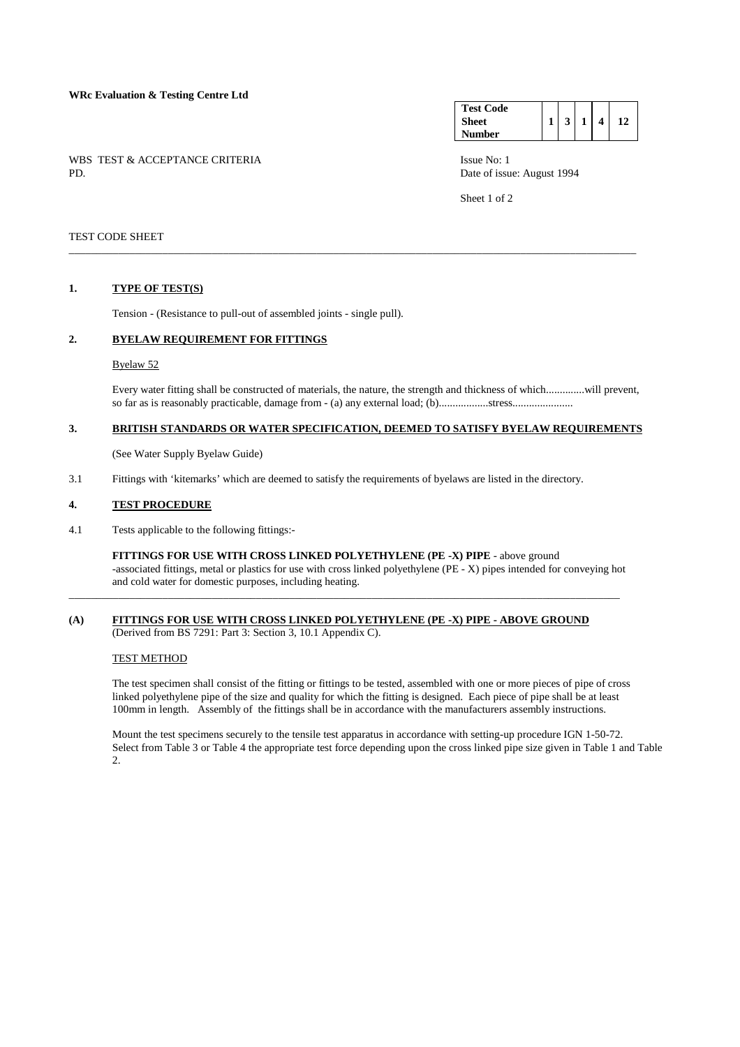# **WRc Evaluation & Testing Centre Ltd**

WBS TEST & ACCEPTANCE CRITERIA ISSUE No: 1<br>PD Date of issue No: 1

| <b>Test Code</b> |   |   |  |
|------------------|---|---|--|
| <b>Sheet</b>     | 3 | 4 |  |
| Number           |   |   |  |

Date of issue: August 1994

Sheet 1 of 2

## TEST CODE SHEET

## **1. TYPE OF TEST(S)**

Tension - (Resistance to pull-out of assembled joints - single pull).

### **2. BYELAW REQUIREMENT FOR FITTINGS**

#### Byelaw 52

 Every water fitting shall be constructed of materials, the nature, the strength and thickness of which..............will prevent, so far as is reasonably practicable, damage from - (a) any external load; (b)..................stress......................

# **3. BRITISH STANDARDS OR WATER SPECIFICATION, DEEMED TO SATISFY BYELAW REQUIREMENTS**

\_\_\_\_\_\_\_\_\_\_\_\_\_\_\_\_\_\_\_\_\_\_\_\_\_\_\_\_\_\_\_\_\_\_\_\_\_\_\_\_\_\_\_\_\_\_\_\_\_\_\_\_\_\_\_\_\_\_\_\_\_\_\_\_\_\_\_\_\_\_\_\_\_\_\_\_\_\_\_\_\_\_\_\_\_\_\_\_\_\_\_\_\_\_\_\_\_\_\_\_\_\_\_

(See Water Supply Byelaw Guide)

3.1 Fittings with 'kitemarks' which are deemed to satisfy the requirements of byelaws are listed in the directory.

### **4. TEST PROCEDURE**

4.1 Tests applicable to the following fittings:-

 **FITTINGS FOR USE WITH CROSS LINKED POLYETHYLENE (PE -X) PIPE** - above ground -associated fittings, metal or plastics for use with cross linked polyethylene (PE - X) pipes intended for conveying hot and cold water for domestic purposes, including heating.

# **(A) FITTINGS FOR USE WITH CROSS LINKED POLYETHYLENE (PE -X) PIPE - ABOVE GROUND** (Derived from BS 7291: Part 3: Section 3, 10.1 Appendix C).

\_\_\_\_\_\_\_\_\_\_\_\_\_\_\_\_\_\_\_\_\_\_\_\_\_\_\_\_\_\_\_\_\_\_\_\_\_\_\_\_\_\_\_\_\_\_\_\_\_\_\_\_\_\_\_\_\_\_\_\_\_\_\_\_\_\_\_\_\_\_\_\_\_\_\_\_\_\_\_\_\_\_\_\_\_\_\_\_\_\_\_\_\_\_\_\_\_\_\_\_

### TEST METHOD

 The test specimen shall consist of the fitting or fittings to be tested, assembled with one or more pieces of pipe of cross linked polyethylene pipe of the size and quality for which the fitting is designed. Each piece of pipe shall be at least 100mm in length. Assembly of the fittings shall be in accordance with the manufacturers assembly instructions.

 Mount the test specimens securely to the tensile test apparatus in accordance with setting-up procedure IGN 1-50-72. Select from Table 3 or Table 4 the appropriate test force depending upon the cross linked pipe size given in Table 1 and Table  $\mathcal{L}$